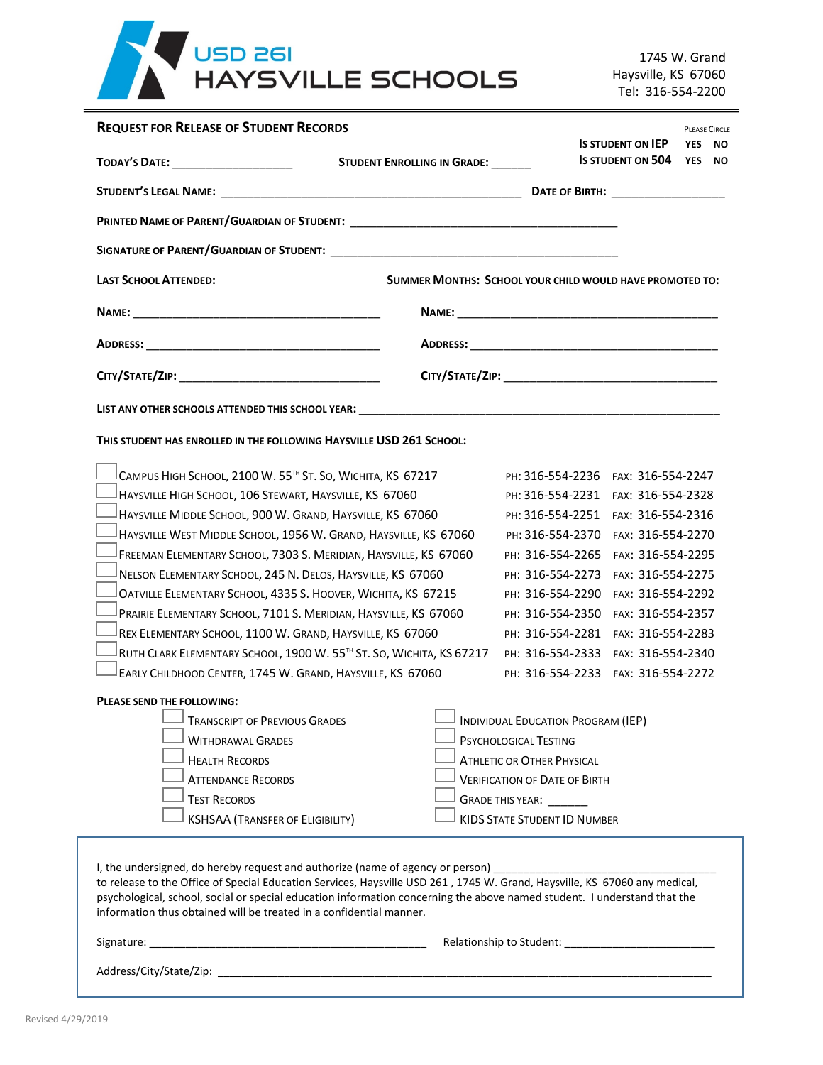

1745 W. Grand Haysville, KS 67060 Tel: 316-554-2200

| <b>REQUEST FOR RELEASE OF STUDENT RECORDS</b>                                                                                                                                                                                                                                                                                                                                                                                                                                                                                                                                                                                                                                                                                                                                                                                                                                                                                                                |                                                          |                                                                                                                                                                                                                                                                                                                                                                                                                                                                  |                                                                                                                                                                                                                | <b>PLEASE CIRCLE</b><br><b>YES</b> |              |
|--------------------------------------------------------------------------------------------------------------------------------------------------------------------------------------------------------------------------------------------------------------------------------------------------------------------------------------------------------------------------------------------------------------------------------------------------------------------------------------------------------------------------------------------------------------------------------------------------------------------------------------------------------------------------------------------------------------------------------------------------------------------------------------------------------------------------------------------------------------------------------------------------------------------------------------------------------------|----------------------------------------------------------|------------------------------------------------------------------------------------------------------------------------------------------------------------------------------------------------------------------------------------------------------------------------------------------------------------------------------------------------------------------------------------------------------------------------------------------------------------------|----------------------------------------------------------------------------------------------------------------------------------------------------------------------------------------------------------------|------------------------------------|--------------|
| TODAY'S DATE: _____________________                                                                                                                                                                                                                                                                                                                                                                                                                                                                                                                                                                                                                                                                                                                                                                                                                                                                                                                          | STUDENT ENROLLING IN GRADE: ______                       |                                                                                                                                                                                                                                                                                                                                                                                                                                                                  | <b>IS STUDENT ON IEP</b><br><b>IS STUDENT ON 504</b>                                                                                                                                                           |                                    | ΝO<br>YES NO |
|                                                                                                                                                                                                                                                                                                                                                                                                                                                                                                                                                                                                                                                                                                                                                                                                                                                                                                                                                              |                                                          |                                                                                                                                                                                                                                                                                                                                                                                                                                                                  |                                                                                                                                                                                                                |                                    |              |
|                                                                                                                                                                                                                                                                                                                                                                                                                                                                                                                                                                                                                                                                                                                                                                                                                                                                                                                                                              |                                                          |                                                                                                                                                                                                                                                                                                                                                                                                                                                                  |                                                                                                                                                                                                                |                                    |              |
|                                                                                                                                                                                                                                                                                                                                                                                                                                                                                                                                                                                                                                                                                                                                                                                                                                                                                                                                                              |                                                          |                                                                                                                                                                                                                                                                                                                                                                                                                                                                  |                                                                                                                                                                                                                |                                    |              |
| <b>LAST SCHOOL ATTENDED:</b>                                                                                                                                                                                                                                                                                                                                                                                                                                                                                                                                                                                                                                                                                                                                                                                                                                                                                                                                 | SUMMER MONTHS: SCHOOL YOUR CHILD WOULD HAVE PROMOTED TO: |                                                                                                                                                                                                                                                                                                                                                                                                                                                                  |                                                                                                                                                                                                                |                                    |              |
|                                                                                                                                                                                                                                                                                                                                                                                                                                                                                                                                                                                                                                                                                                                                                                                                                                                                                                                                                              |                                                          |                                                                                                                                                                                                                                                                                                                                                                                                                                                                  |                                                                                                                                                                                                                |                                    |              |
|                                                                                                                                                                                                                                                                                                                                                                                                                                                                                                                                                                                                                                                                                                                                                                                                                                                                                                                                                              |                                                          |                                                                                                                                                                                                                                                                                                                                                                                                                                                                  |                                                                                                                                                                                                                |                                    |              |
|                                                                                                                                                                                                                                                                                                                                                                                                                                                                                                                                                                                                                                                                                                                                                                                                                                                                                                                                                              |                                                          |                                                                                                                                                                                                                                                                                                                                                                                                                                                                  |                                                                                                                                                                                                                |                                    |              |
| LIST ANY OTHER SCHOOLS ATTENDED THIS SCHOOL YEAR: University of the contract of the contract of the contract of                                                                                                                                                                                                                                                                                                                                                                                                                                                                                                                                                                                                                                                                                                                                                                                                                                              |                                                          |                                                                                                                                                                                                                                                                                                                                                                                                                                                                  |                                                                                                                                                                                                                |                                    |              |
| THIS STUDENT HAS ENROLLED IN THE FOLLOWING HAYSVILLE USD 261 SCHOOL:                                                                                                                                                                                                                                                                                                                                                                                                                                                                                                                                                                                                                                                                                                                                                                                                                                                                                         |                                                          |                                                                                                                                                                                                                                                                                                                                                                                                                                                                  |                                                                                                                                                                                                                |                                    |              |
| CAMPUS HIGH SCHOOL, 2100 W. 55™ ST. SO, WICHITA, KS 67217<br>HAYSVILLE HIGH SCHOOL, 106 STEWART, HAYSVILLE, KS 67060<br>HAYSVILLE MIDDLE SCHOOL, 900 W. GRAND, HAYSVILLE, KS 67060<br>HAYSVILLE WEST MIDDLE SCHOOL, 1956 W. GRAND, HAYSVILLE, KS 67060<br>FREEMAN ELEMENTARY SCHOOL, 7303 S. MERIDIAN, HAYSVILLE, KS 67060<br>NELSON ELEMENTARY SCHOOL, 245 N. DELOS, HAYSVILLE, KS 67060<br>OATVILLE ELEMENTARY SCHOOL, 4335 S. HOOVER, WICHITA, KS 67215<br>PRAIRIE ELEMENTARY SCHOOL, 7101 S. MERIDIAN, HAYSVILLE, KS 67060<br>REX ELEMENTARY SCHOOL, 1100 W. GRAND, HAYSVILLE, KS 67060<br>RUTH CLARK ELEMENTARY SCHOOL, 1900 W. 55TH ST. SO, WICHITA, KS 67217<br>EARLY CHILDHOOD CENTER, 1745 W. GRAND, HAYSVILLE, KS 67060<br>PLEASE SEND THE FOLLOWING:<br>$\perp$ Transcript of Previous Grades<br><b>WITHDRAWAL GRADES</b><br><b>HEALTH RECORDS</b><br><b>ATTENDANCE RECORDS</b><br><b>TEST RECORDS</b><br><b>KSHSAA (TRANSFER OF ELIGIBILITY)</b> |                                                          | PH: 316-554-2236<br>PH: 316-554-2231 FAX: 316-554-2328<br>PH: 316-554-2251<br>PH: 316-554-2370<br>PH: 316-554-2265<br>PH: 316-554-2273<br>PH: 316-554-2290<br>PH: 316-554-2350<br>PH: 316-554-2281<br>PH: 316-554-2333<br>PH: 316-554-2233<br>$\Box$ Individual Education Program (IEP)<br>PSYCHOLOGICAL TESTING<br><b>ATHLETIC OR OTHER PHYSICAL</b><br><b>VERIFICATION OF DATE OF BIRTH</b><br>GRADE THIS YEAR: _______<br><b>KIDS STATE STUDENT ID NUMBER</b> | FAX: 316-554-2247<br>FAX: 316-554-2316<br>FAX: 316-554-2270<br>FAX: 316-554-2295<br>FAX: 316-554-2275<br>FAX: 316-554-2292<br>FAX: 316-554-2357<br>FAX: 316-554-2283<br>FAX: 316-554-2340<br>FAX: 316-554-2272 |                                    |              |
| I, the undersigned, do hereby request and authorize (name of agency or person) _______________________________<br>to release to the Office of Special Education Services, Haysville USD 261, 1745 W. Grand, Haysville, KS 67060 any medical,<br>psychological, school, social or special education information concerning the above named student. I understand that the<br>information thus obtained will be treated in a confidential manner.                                                                                                                                                                                                                                                                                                                                                                                                                                                                                                              |                                                          |                                                                                                                                                                                                                                                                                                                                                                                                                                                                  |                                                                                                                                                                                                                |                                    |              |
|                                                                                                                                                                                                                                                                                                                                                                                                                                                                                                                                                                                                                                                                                                                                                                                                                                                                                                                                                              |                                                          |                                                                                                                                                                                                                                                                                                                                                                                                                                                                  |                                                                                                                                                                                                                |                                    |              |
|                                                                                                                                                                                                                                                                                                                                                                                                                                                                                                                                                                                                                                                                                                                                                                                                                                                                                                                                                              |                                                          |                                                                                                                                                                                                                                                                                                                                                                                                                                                                  |                                                                                                                                                                                                                |                                    |              |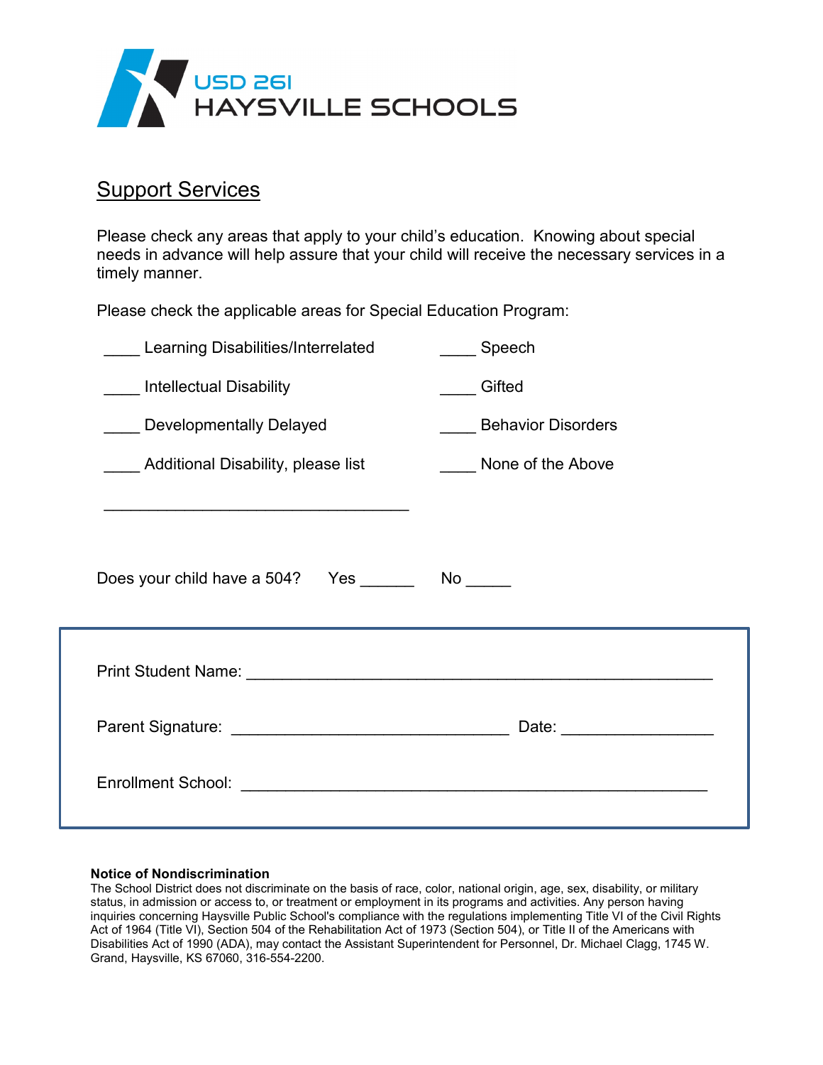

## **Support Services**

Please check any areas that apply to your child's education. Knowing about special needs in advance will help assure that your child will receive the necessary services in a timely manner.

Please check the applicable areas for Special Education Program:

| Learning Disabilities/Interrelated                                                                                     | Speech                    |
|------------------------------------------------------------------------------------------------------------------------|---------------------------|
| <b>Intellectual Disability</b>                                                                                         | Gifted                    |
| Developmentally Delayed                                                                                                | <b>Behavior Disorders</b> |
| Additional Disability, please list                                                                                     | None of the Above         |
| <u> 1990 - Johann John Harry Barn, mars and de Francisco Barn, mars and de Francisco Barn, mars and de Francisco B</u> |                           |
| Does your child have a 504? Yes __________ No ______                                                                   |                           |
|                                                                                                                        |                           |
|                                                                                                                        | Date: ___________________ |
|                                                                                                                        |                           |
|                                                                                                                        |                           |

## **Notice of Nondiscrimination**

The School District does not discriminate on the basis of race, color, national origin, age, sex, disability, or military status, in admission or access to, or treatment or employment in its programs and activities. Any person having inquiries concerning Haysville Public School's compliance with the regulations implementing Title VI of the Civil Rights Act of 1964 (Title VI), Section 504 of the Rehabilitation Act of 1973 (Section 504), or Title II of the Americans with Disabilities Act of 1990 (ADA), may contact the Assistant Superintendent for Personnel, Dr. Michael Clagg, 1745 W. Grand, Haysville, KS 67060, 316-554-2200.